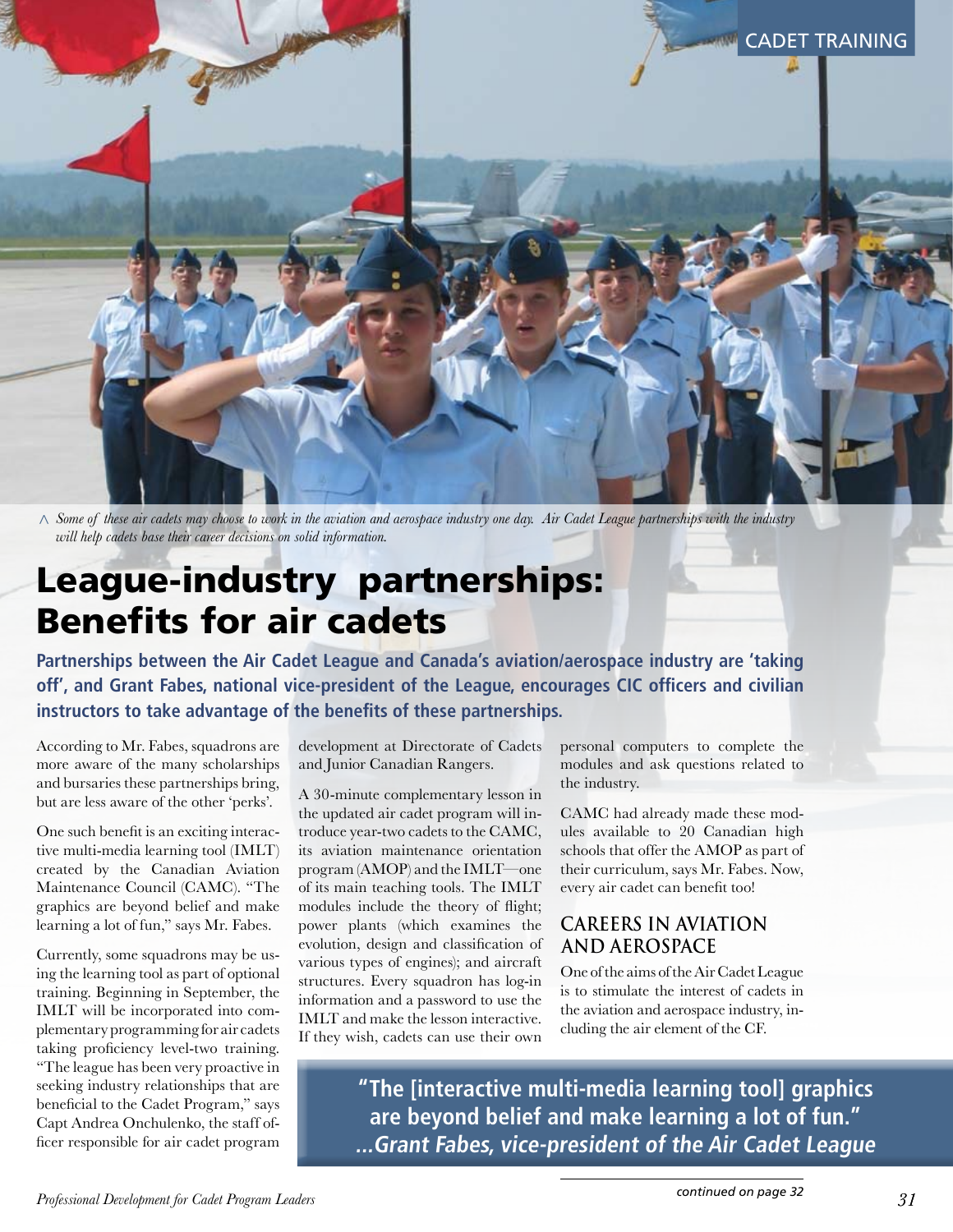

*Some of these air cadets may choose to work in the aviation and aerospace industry one day. Air Cadet League partnerships with the industry < will help cadets base their career decisions on solid information.* 

# League-industry partnerships: Benefits for air cadets

**Partnerships between the Air Cadet League and Canada's aviation/aerospace industry are 'taking off', and Grant Fabes, national vice-president of the League, encourages CIC officers and civilian instructors to take advantage of the benefits of these partnerships.** 

According to Mr. Fabes, squadrons are more aware of the many scholarships and bursaries these partnerships bring, but are less aware of the other 'perks'.

One such benefit is an exciting interactive multi-media learning tool (IMLT) created by the Canadian Aviation Maintenance Council (CAMC). "The graphics are beyond belief and make learning a lot of fun," says Mr. Fabes.

Currently, some squadrons may be using the learning tool as part of optional training. Beginning in September, the IMLT will be incorporated into complementary programming for air cadets taking proficiency level-two training. "The league has been very proactive in seeking industry relationships that are beneficial to the Cadet Program," says Capt Andrea Onchulenko, the staff officer responsible for air cadet program

development at Directorate of Cadets and Junior Canadian Rangers.

A 30-minute complementary lesson in the updated air cadet program will introduce year-two cadets to the CAMC, its aviation maintenance orientation program (AMOP) and the IMLT—one of its main teaching tools. The IMLT modules include the theory of flight; power plants (which examines the evolution, design and classification of various types of engines); and aircraft structures. Every squadron has log-in information and a password to use the IMLT and make the lesson interactive. If they wish, cadets can use their own

personal computers to complete the modules and ask questions related to the industry.

CAMC had already made these modules available to 20 Canadian high schools that offer the AMOP as part of their curriculum, says Mr. Fabes. Now, every air cadet can benefit too!

# **Careers in aviation and aerospace**

One of the aims of the Air Cadet League is to stimulate the interest of cadets in the aviation and aerospace industry, including the air element of the CF.

**"The [interactive multi-media learning tool] graphics are beyond belief and make learning a lot of fun." ...Grant Fabes, vice-president of the Air Cadet League**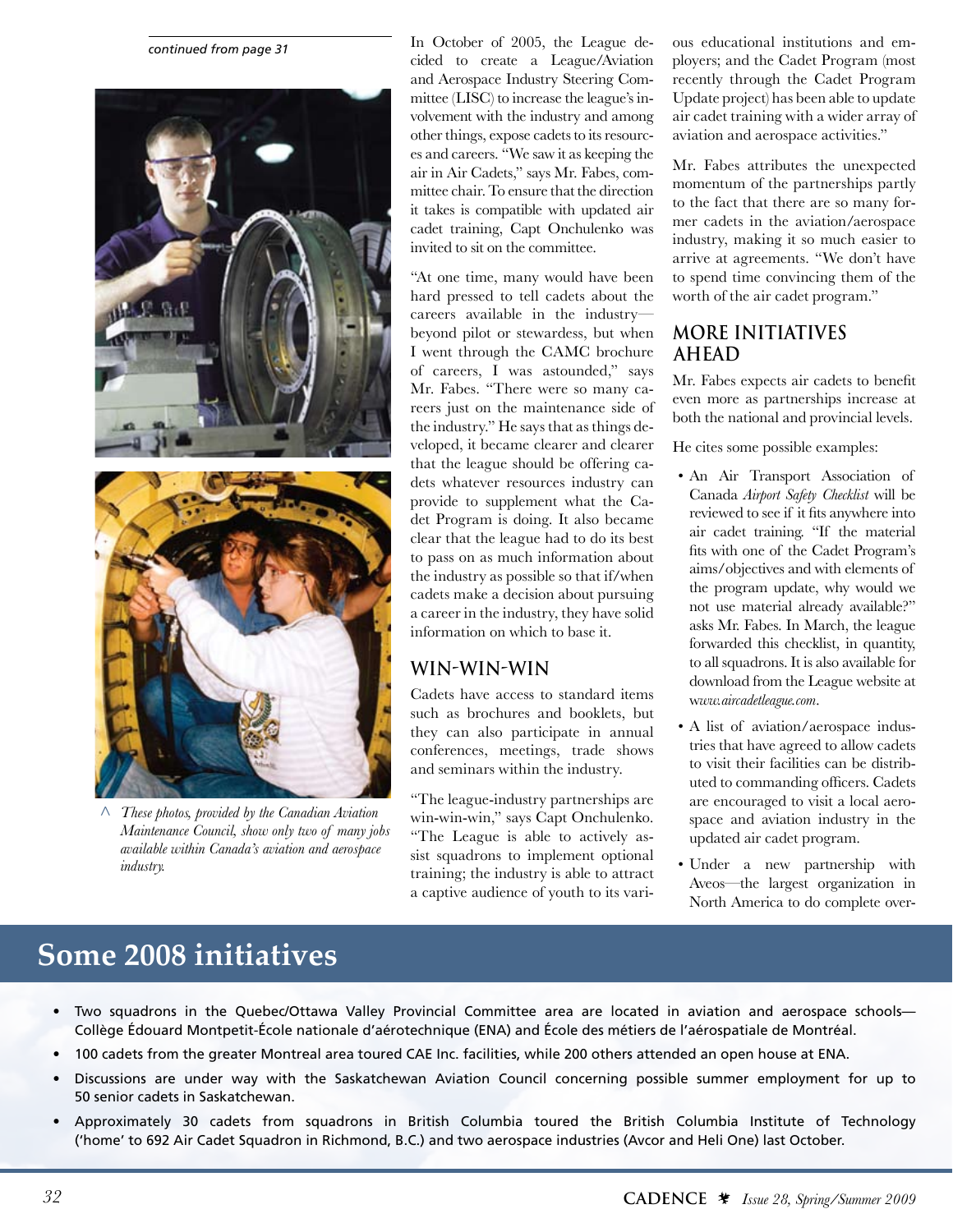*continued from page 31*



*These photos, provided by the Canadian Aviation <Maintenance Council, show only two of many jobs available within Canada's aviation and aerospace industry.*

In October of 2005, the League decided to create a League/Aviation and Aerospace Industry Steering Committee (LISC) to increase the league's involvement with the industry and among other things, expose cadets to its resources and careers. "We saw it as keeping the air in Air Cadets," says Mr. Fabes, committee chair. To ensure that the direction it takes is compatible with updated air cadet training, Capt Onchulenko was invited to sit on the committee.

"At one time, many would have been hard pressed to tell cadets about the careers available in the industry beyond pilot or stewardess, but when I went through the CAMC brochure of careers, I was astounded," says Mr. Fabes. "There were so many careers just on the maintenance side of the industry." He says that as things developed, it became clearer and clearer that the league should be offering cadets whatever resources industry can provide to supplement what the Cadet Program is doing. It also became clear that the league had to do its best to pass on as much information about the industry as possible so that if/when cadets make a decision about pursuing a career in the industry, they have solid information on which to base it.

### **Win-win-win**

Cadets have access to standard items such as brochures and booklets, but they can also participate in annual conferences, meetings, trade shows and seminars within the industry.

"The league-industry partnerships are win-win-win," says Capt Onchulenko. "The League is able to actively assist squadrons to implement optional training; the industry is able to attract a captive audience of youth to its vari-

ous educational institutions and employers; and the Cadet Program (most recently through the Cadet Program Update project) has been able to update air cadet training with a wider array of aviation and aerospace activities."

Mr. Fabes attributes the unexpected momentum of the partnerships partly to the fact that there are so many former cadets in the aviation/aerospace industry, making it so much easier to arrive at agreements. "We don't have to spend time convincing them of the worth of the air cadet program."

### **More initiatives ahead**

Mr. Fabes expects air cadets to benefit even more as partnerships increase at both the national and provincial levels.

He cites some possible examples:

- An Air Transport Association of Canada *Airport Safety Checklist* will be reviewed to see if it fits anywhere into air cadet training. "If the material fits with one of the Cadet Program's aims/objectives and with elements of the program update, why would we not use material already available?" asks Mr. Fabes. In March, the league forwarded this checklist, in quantity, to all squadrons. It is also available for download from the League website at w*ww.aircadetleague.com*.
- A list of aviation/aerospace industries that have agreed to allow cadets to visit their facilities can be distributed to commanding officers. Cadets are encouraged to visit a local aerospace and aviation industry in the updated air cadet program.
- Under a new partnership with Aveos—the largest organization in North America to do complete over-

# **Some 2008 initiatives**

- Two squadrons in the Quebec/Ottawa Valley Provincial Committee area are located in aviation and aerospace schools-Collège Édouard Montpetit-École nationale d'aérotechnique (ENA) and École des métiers de l'aérospatiale de Montréal.
- 100 cadets from the greater Montreal area toured CAE Inc. facilities, while 200 others attended an open house at ENA.
- • Discussions are under way with the Saskatchewan Aviation Council concerning possible summer employment for up to 50 senior cadets in Saskatchewan.
- • Approximately 30 cadets from squadrons in British Columbia toured the British Columbia Institute of Technology ('home' to 692 Air Cadet Squadron in Richmond, B.C.) and two aerospace industries (Avcor and Heli One) last October.